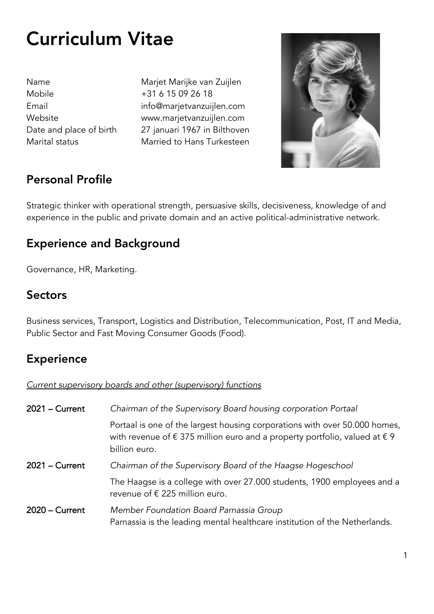# Curriculum Vitae

Mobile +31 6 15 09 26 18

Name Marjet Marijke van Zuijlen Email info@marjetvanzuijlen.com Website www.marjetvanzuijlen.com Date and place of birth 27 januari 1967 in Bilthoven Marital status Married to Hans Turkesteen



## Personal Profile

Strategic thinker with operational strength, persuasive skills, decisiveness, knowledge of and experience in the public and private domain and an active political-administrative network.

## Experience and Background

Governance, HR, Marketing.

### **Sectors**

Business services, Transport, Logistics and Distribution, Telecommunication, Post, IT and Media, Public Sector and Fast Moving Consumer Goods (Food).

## **Experience**

*Current supervisory boards and other (supervisory) functions*

| 2021 - Current | Chairman of the Supervisory Board housing corporation Portaal                                                                                                                               |
|----------------|---------------------------------------------------------------------------------------------------------------------------------------------------------------------------------------------|
|                | Portaal is one of the largest housing corporations with over 50.000 homes,<br>with revenue of $\epsilon$ 375 million euro and a property portfolio, valued at $\epsilon$ 9<br>billion euro. |
| 2021 – Current | Chairman of the Supervisory Board of the Haagse Hogeschool                                                                                                                                  |
|                | The Haagse is a college with over 27.000 students, 1900 employees and a<br>revenue of € 225 million euro.                                                                                   |
| 2020 – Current | Member Foundation Board Parnassia Group<br>Parnassia is the leading mental healthcare institution of the Netherlands.                                                                       |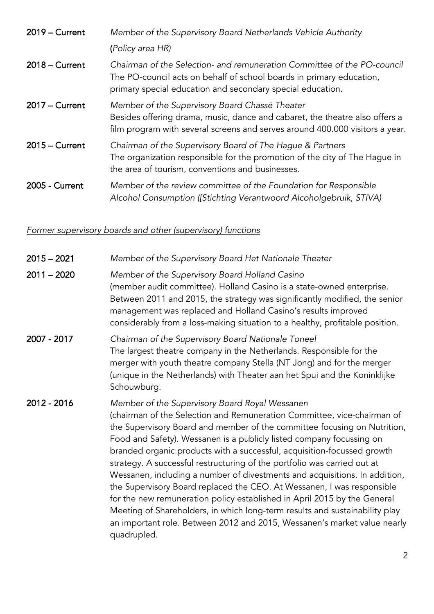| $2019 -$ Current | Member of the Supervisory Board Netherlands Vehicle Authority                                                                                                                                                 |
|------------------|---------------------------------------------------------------------------------------------------------------------------------------------------------------------------------------------------------------|
|                  | (Policy area HR)                                                                                                                                                                                              |
| $2018 -$ Current | Chairman of the Selection- and remuneration Committee of the PO-council<br>The PO-council acts on behalf of school boards in primary education,<br>primary special education and secondary special education. |
| $2017 -$ Current | Member of the Supervisory Board Chassé Theater<br>Besides offering drama, music, dance and cabaret, the theatre also offers a<br>film program with several screens and serves around 400.000 visitors a year. |
| $2015 -$ Current | Chairman of the Supervisory Board of The Hague & Partners<br>The organization responsible for the promotion of the city of The Hague in<br>the area of tourism, conventions and businesses.                   |
| 2005 - Current   | Member of the review committee of the Foundation for Responsible<br>Alcohol Consumption ([Stichting Verantwoord Alcoholgebruik, STIVA)                                                                        |

### *Former supervisory boards and other (supervisory) functions*

| $2015 - 2021$ | Member of the Supervisory Board Het Nationale Theater                                                                                                                                                                                                                                                                                                                                                                                                                                                                                                                                                                                                                                                                                                                                                                                              |
|---------------|----------------------------------------------------------------------------------------------------------------------------------------------------------------------------------------------------------------------------------------------------------------------------------------------------------------------------------------------------------------------------------------------------------------------------------------------------------------------------------------------------------------------------------------------------------------------------------------------------------------------------------------------------------------------------------------------------------------------------------------------------------------------------------------------------------------------------------------------------|
| $2011 - 2020$ | Member of the Supervisory Board Holland Casino<br>(member audit committee). Holland Casino is a state-owned enterprise.<br>Between 2011 and 2015, the strategy was significantly modified, the senior<br>management was replaced and Holland Casino's results improved<br>considerably from a loss-making situation to a healthy, profitable position.                                                                                                                                                                                                                                                                                                                                                                                                                                                                                             |
| 2007 - 2017   | Chairman of the Supervisory Board Nationale Toneel<br>The largest theatre company in the Netherlands. Responsible for the<br>merger with youth theatre company Stella (NT Jong) and for the merger<br>(unique in the Netherlands) with Theater aan het Spui and the Koninklijke<br>Schouwburg.                                                                                                                                                                                                                                                                                                                                                                                                                                                                                                                                                     |
| 2012 - 2016   | Member of the Supervisory Board Royal Wessanen<br>(chairman of the Selection and Remuneration Committee, vice-chairman of<br>the Supervisory Board and member of the committee focusing on Nutrition,<br>Food and Safety). Wessanen is a publicly listed company focussing on<br>branded organic products with a successful, acquisition-focussed growth<br>strategy. A successful restructuring of the portfolio was carried out at<br>Wessanen, including a number of divestments and acquisitions. In addition,<br>the Supervisory Board replaced the CEO. At Wessanen, I was responsible<br>for the new remuneration policy established in April 2015 by the General<br>Meeting of Shareholders, in which long-term results and sustainability play<br>an important role. Between 2012 and 2015, Wessanen's market value nearly<br>quadrupled. |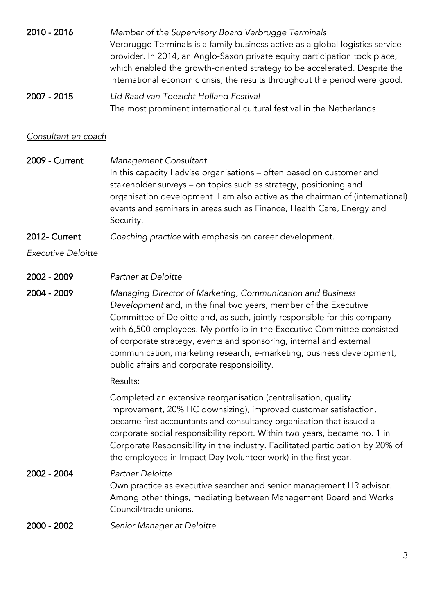| 2010 - 2016 | Member of the Supervisory Board Verbrugge Terminals                           |
|-------------|-------------------------------------------------------------------------------|
|             | Verbrugge Terminals is a family business active as a global logistics service |
|             | provider. In 2014, an Anglo-Saxon private equity participation took place,    |
|             | which enabled the growth-oriented strategy to be accelerated. Despite the     |
|             | international economic crisis, the results throughout the period were good.   |
|             |                                                                               |

2007 - 2015 *Lid Raad van Toezicht Holland Festival* The most prominent international cultural festival in the Netherlands.

#### *Consultant en coach*

2009 - Current *Management Consultant* In this capacity I advise organisations – often based on customer and stakeholder surveys – on topics such as strategy, positioning and organisation development. I am also active as the chairman of (international) events and seminars in areas such as Finance, Health Care, Energy and Security.

2012- Current *Coaching practice* with emphasis on career development.

*Executive Deloitte*

- 2002 2009 *Partner at Deloitte*
- 2004 2009 *Managing Director of Marketing, Communication and Business Development* and, in the final two years, member of the Executive Committee of Deloitte and, as such, jointly responsible for this company with 6,500 employees. My portfolio in the Executive Committee consisted of corporate strategy, events and sponsoring, internal and external communication, marketing research, e-marketing, business development, public affairs and corporate responsibility.

#### Results:

Completed an extensive reorganisation (centralisation, quality improvement, 20% HC downsizing), improved customer satisfaction, became first accountants and consultancy organisation that issued a corporate social responsibility report. Within two years, became no. 1 in Corporate Responsibility in the industry. Facilitated participation by 20% of the employees in Impact Day (volunteer work) in the first year.

### 2002 - 2004 *Partner Deloitte* Own practice as executive searcher and senior management HR advisor. Among other things, mediating between Management Board and Works Council/trade unions.

2000 - 2002 *Senior Manager at Deloitte*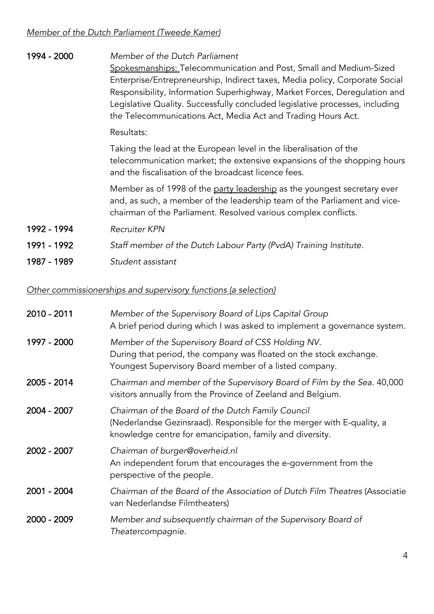| 1994 - 2000 | Member of the Dutch Parliament<br>Spokesmanships: Telecommunication and Post, Small and Medium-Sized<br>Enterprise/Entrepreneurship, Indirect taxes, Media policy, Corporate Social<br>Responsibility, Information Superhighway, Market Forces, Deregulation and<br>Legislative Quality. Successfully concluded legislative processes, including<br>the Telecommunications Act, Media Act and Trading Hours Act. |
|-------------|------------------------------------------------------------------------------------------------------------------------------------------------------------------------------------------------------------------------------------------------------------------------------------------------------------------------------------------------------------------------------------------------------------------|
|             | Resultats:                                                                                                                                                                                                                                                                                                                                                                                                       |
|             | Taking the lead at the European level in the liberalisation of the<br>telecommunication market; the extensive expansions of the shopping hours<br>and the fiscalisation of the broadcast licence fees.                                                                                                                                                                                                           |
|             | Member as of 1998 of the party leadership as the youngest secretary ever<br>and, as such, a member of the leadership team of the Parliament and vice-<br>chairman of the Parliament. Resolved various complex conflicts.                                                                                                                                                                                         |
| 1992 - 1994 | <b>Recruiter KPN</b>                                                                                                                                                                                                                                                                                                                                                                                             |
| 1991 - 1992 | Staff member of the Dutch Labour Party (PvdA) Training Institute.                                                                                                                                                                                                                                                                                                                                                |
| 1987 - 1989 | Student assistant                                                                                                                                                                                                                                                                                                                                                                                                |

*Other commissionerships and supervisory functions (a selection)*

| 2010 - 2011 | Member of the Supervisory Board of Lips Capital Group<br>A brief period during which I was asked to implement a governance system.                                                      |
|-------------|-----------------------------------------------------------------------------------------------------------------------------------------------------------------------------------------|
| 1997 - 2000 | Member of the Supervisory Board of CSS Holding NV.<br>During that period, the company was floated on the stock exchange.<br>Youngest Supervisory Board member of a listed company.      |
| 2005 - 2014 | Chairman and member of the Supervisory Board of Film by the Sea. 40,000<br>visitors annually from the Province of Zeeland and Belgium.                                                  |
| 2004 - 2007 | Chairman of the Board of the Dutch Family Council<br>(Nederlandse Gezinsraad). Responsible for the merger with E-quality, a<br>knowledge centre for emancipation, family and diversity. |
| 2002 - 2007 | Chairman of burger@overheid.nl<br>An independent forum that encourages the e-government from the<br>perspective of the people.                                                          |
| 2001 - 2004 | Chairman of the Board of the Association of Dutch Film Theatres (Associatie<br>van Nederlandse Filmtheaters)                                                                            |
| 2000 - 2009 | Member and subsequently chairman of the Supervisory Board of<br>Theatercompagnie.                                                                                                       |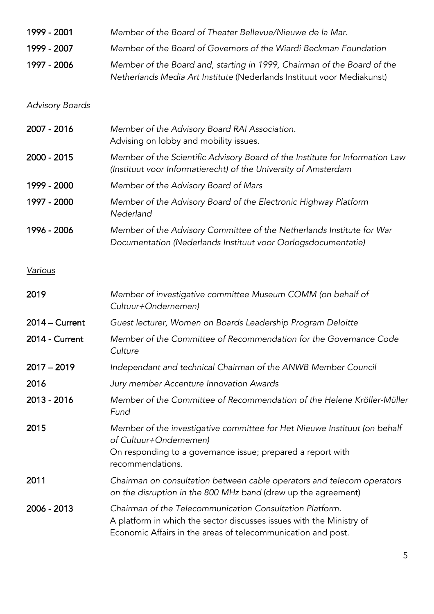| 1999 - 2001<br>Member of the Board of Theater Bellevue/Nieuwe de la Mar. |  |
|--------------------------------------------------------------------------|--|
|--------------------------------------------------------------------------|--|

- 1999 2007 *Member of the Board of Governors of the Wiardi Beckman Foundation*
- 1997 2006 *Member of the Board and, starting in 1999, Chairman of the Board of the Netherlands Media Art Institute* (Nederlands Instituut voor Mediakunst)

#### *Advisory Boards*

| 2007 - 2016      | Member of the Advisory Board RAI Association.<br>Advising on lobby and mobility issues.                                                         |
|------------------|-------------------------------------------------------------------------------------------------------------------------------------------------|
| 2000 - 2015      | Member of the Scientific Advisory Board of the Institute for Information Law<br>(Instituut voor Informatierecht) of the University of Amsterdam |
| 1999 - 2000      | Member of the Advisory Board of Mars                                                                                                            |
| 1997 - 2000      | Member of the Advisory Board of the Electronic Highway Platform<br>Nederland                                                                    |
| 1996 - 2006      | Member of the Advisory Committee of the Netherlands Institute for War<br>Documentation (Nederlands Instituut voor Oorlogsdocumentatie)          |
| <b>Various</b>   |                                                                                                                                                 |
| 2019             | Member of investigative committee Museum COMM (on behalf of<br>Cultuur+Ondernemen)                                                              |
| $2014 - Current$ | Guest lecturer, Women on Boards Leadership Program Deloitte                                                                                     |
| 2014 - Current   | Member of the Committee of Recommendation for the Governance Code<br>Culture                                                                    |
| $2017 - 2019$    | Independant and technical Chairman of the ANWB Member Council                                                                                   |
| 2016             | Jury member Accenture Innovation Awards                                                                                                         |

- 2013 2016 *Member of the Committee of Recommendation of the Helene Kröller-Müller Fund*
- 2015 *Member of the investigative committee for Het Nieuwe Instituut (on behalf of Cultuur+Ondernemen)* On responding to a governance issue; prepared a report with
- 2011 *Chairman on consultation between cable operators and telecom operators on the disruption in the 800 MHz band* (drew up the agreement)
- 2006 2013 *Chairman of the Telecommunication Consultation Platform.*  A platform in which the sector discusses issues with the Ministry of Economic Affairs in the areas of telecommunication and post.

recommendations.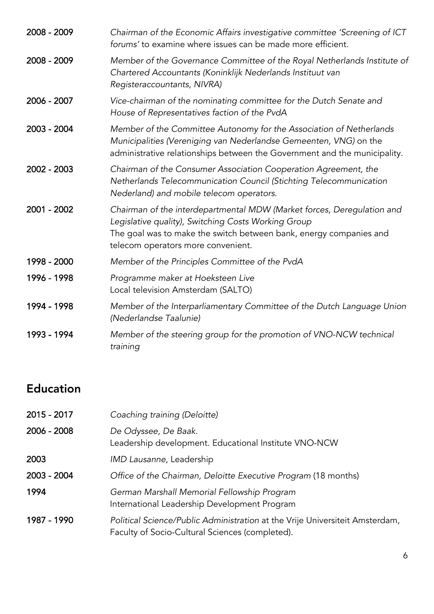| 2008 - 2009 | Chairman of the Economic Affairs investigative committee 'Screening of ICT<br>forums' to examine where issues can be made more efficient.                                                                                                 |
|-------------|-------------------------------------------------------------------------------------------------------------------------------------------------------------------------------------------------------------------------------------------|
| 2008 - 2009 | Member of the Governance Committee of the Royal Netherlands Institute of<br>Chartered Accountants (Koninklijk Nederlands Instituut van<br>Registeraccountants, NIVRA)                                                                     |
| 2006 - 2007 | Vice-chairman of the nominating committee for the Dutch Senate and<br>House of Representatives faction of the PvdA                                                                                                                        |
| 2003 - 2004 | Member of the Committee Autonomy for the Association of Netherlands<br>Municipalities (Vereniging van Nederlandse Gemeenten, VNG) on the<br>administrative relationships between the Government and the municipality.                     |
| 2002 - 2003 | Chairman of the Consumer Association Cooperation Agreement, the<br>Netherlands Telecommunication Council (Stichting Telecommunication<br>Nederland) and mobile telecom operators.                                                         |
| 2001 - 2002 | Chairman of the interdepartmental MDW (Market forces, Deregulation and<br>Legislative quality), Switching Costs Working Group<br>The goal was to make the switch between bank, energy companies and<br>telecom operators more convenient. |
| 1998 - 2000 | Member of the Principles Committee of the PvdA                                                                                                                                                                                            |
| 1996 - 1998 | Programme maker at Hoeksteen Live<br>Local television Amsterdam (SALTO)                                                                                                                                                                   |
| 1994 - 1998 | Member of the Interparliamentary Committee of the Dutch Language Union<br>(Nederlandse Taalunie)                                                                                                                                          |
| 1993 - 1994 | Member of the steering group for the promotion of VNO-NCW technical<br>training                                                                                                                                                           |

# Education

| 2015 - 2017 | Coaching training (Deloitte)                                                                                                    |
|-------------|---------------------------------------------------------------------------------------------------------------------------------|
| 2006 - 2008 | De Odyssee, De Baak.<br>Leadership development. Educational Institute VNO-NCW                                                   |
| 2003        | IMD Lausanne, Leadership                                                                                                        |
| 2003 - 2004 | Office of the Chairman, Deloitte Executive Program (18 months)                                                                  |
| 1994        | German Marshall Memorial Fellowship Program<br>International Leadership Development Program                                     |
| 1987 - 1990 | Political Science/Public Administration at the Vrije Universiteit Amsterdam,<br>Faculty of Socio-Cultural Sciences (completed). |
|             |                                                                                                                                 |